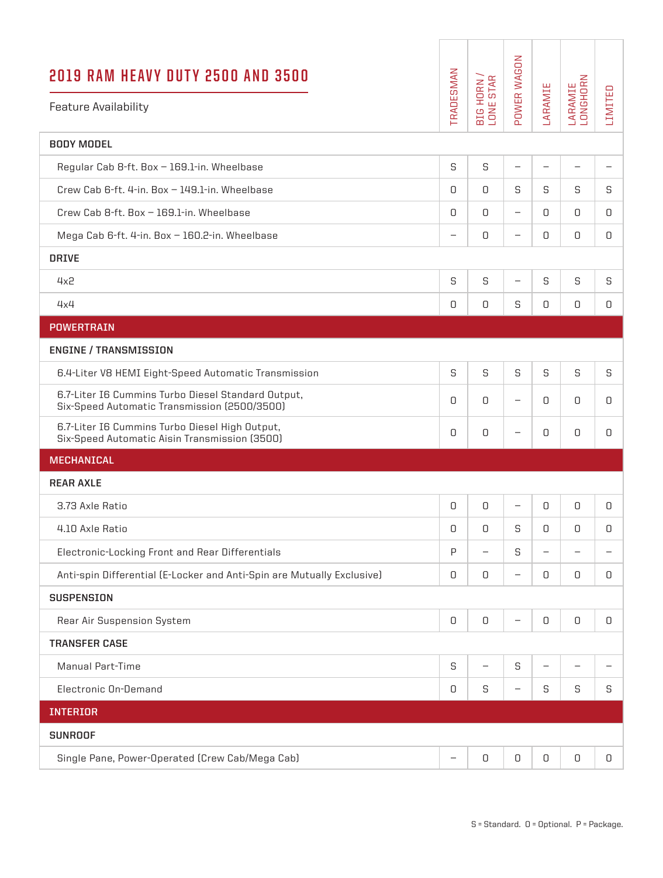| <b>2019 RAM HEAVY DUTY 2500 AND 3500</b><br><b>Feature Availability</b>                            | TRADESMAN                | BIG HORN /<br>LONE STAR  | POWER WAGON              | LARAMIE           | LARAMIE<br>LONGHORN | LIMITED                  |
|----------------------------------------------------------------------------------------------------|--------------------------|--------------------------|--------------------------|-------------------|---------------------|--------------------------|
| <b>BODY MODEL</b>                                                                                  |                          |                          |                          |                   |                     |                          |
| Regular Cab 8-ft. Box - 169.1-in. Wheelbase                                                        | S                        | S                        | $\overline{\phantom{m}}$ | $\qquad \qquad -$ |                     | $\overline{\phantom{m}}$ |
| Crew Cab 6-ft, 4-in, Box - 149.1-in, Wheelbase                                                     | 0                        | 0                        | S                        | S                 | S                   | S                        |
| Crew Cab 8-ft. Box - 169.1-in. Wheelbase                                                           | 0                        | $\Omega$                 | $\overline{\phantom{m}}$ | 0                 | 0                   | 0                        |
| Mega Cab 6-ft. 4-in. Box - 160.2-in. Wheelbase                                                     | $\overline{\phantom{0}}$ | 0                        |                          | 0                 | 0                   | 0                        |
| <b>DRIVE</b>                                                                                       |                          |                          |                          |                   |                     |                          |
| 4x2                                                                                                | S                        | S                        | —                        | S                 | S                   | S                        |
| 4x4                                                                                                | 0                        | 0                        | S                        | 0                 | 0                   | 0                        |
| <b>POWERTRAIN</b>                                                                                  |                          |                          |                          |                   |                     |                          |
| <b>ENGINE / TRANSMISSION</b>                                                                       |                          |                          |                          |                   |                     |                          |
| 6.4-Liter V8 HEMI Eight-Speed Automatic Transmission                                               | S                        | S                        | S                        | S                 | S                   | S                        |
| 6.7-Liter I6 Cummins Turbo Diesel Standard Output,<br>Six-Speed Automatic Transmission (2500/3500) | 0                        | 0                        | $\overline{\phantom{m}}$ | 0                 | 0                   | 0                        |
| 6.7-Liter I6 Cummins Turbo Diesel High Output,<br>Six-Speed Automatic Aisin Transmission (3500)    | 0                        | 0                        | —                        | 0                 | 0                   | 0                        |
| <b>MECHANICAL</b>                                                                                  |                          |                          |                          |                   |                     |                          |
| <b>REAR AXLE</b>                                                                                   |                          |                          |                          |                   |                     |                          |
| 3.73 Axle Ratio                                                                                    | 0                        | 0                        | -                        | 0                 | 0                   | 0                        |
| 4.10 Axle Ratio                                                                                    | 0                        | 0                        | S                        | 0                 | 0                   | 0                        |
| Electronic-Locking Front and Rear Differentials                                                    | $\mathsf{P}$             | $\overline{\phantom{0}}$ | S                        | $\qquad \qquad -$ |                     | $\overline{\phantom{m}}$ |
| Anti-spin Differential (E-Locker and Anti-Spin are Mutually Exclusive)                             | 0                        | 0                        | $\overline{\phantom{m}}$ | 0                 | 0                   | 0                        |
| <b>SUSPENSION</b>                                                                                  |                          |                          |                          |                   |                     |                          |
| Rear Air Suspension System                                                                         | 0                        | 0                        | $\overline{\phantom{m}}$ | $\Box$            | 0                   | 0                        |
| <b>TRANSFER CASE</b>                                                                               |                          |                          |                          |                   |                     |                          |
| <b>Manual Part-Time</b>                                                                            | S                        |                          | S                        | $\qquad \qquad -$ |                     | $\overline{\phantom{m}}$ |
| <b>Electronic On-Demand</b>                                                                        | 0                        | S                        | $\qquad \qquad -$        | S                 | S                   | S                        |
| <b>INTERIOR</b>                                                                                    |                          |                          |                          |                   |                     |                          |
| <b>SUNROOF</b>                                                                                     |                          |                          |                          |                   |                     |                          |
| Single Pane, Power-Operated (Crew Cab/Mega Cab)                                                    |                          | 0                        | 0                        | 0                 | 0                   | 0                        |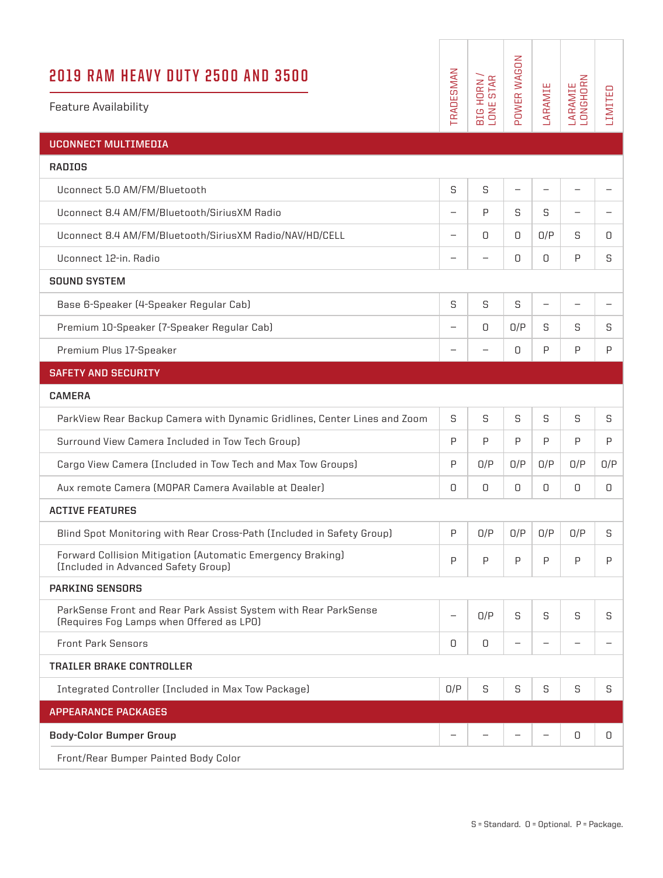| 2019 RAM HEAVY DUTY 2500 AND 3500<br><b>Feature Availability</b>                                            | TRADESMAN                | BIG HORN /<br>LONE STAR | POWER WAGON       | LARAMIE           | LARAMIE<br>LONGHORN      | LIMITED                  |
|-------------------------------------------------------------------------------------------------------------|--------------------------|-------------------------|-------------------|-------------------|--------------------------|--------------------------|
| <b>UCONNECT MULTIMEDIA</b>                                                                                  |                          |                         |                   |                   |                          |                          |
| <b>RADIOS</b>                                                                                               |                          |                         |                   |                   |                          |                          |
| Uconnect 5.0 AM/FM/Bluetooth                                                                                | S                        | S                       | $\qquad \qquad -$ | $\qquad \qquad -$ | $\overline{\phantom{0}}$ | $\overline{\phantom{0}}$ |
| Uconnect 8.4 AM/FM/Bluetooth/SiriusXM Radio                                                                 |                          | P                       | S                 | S                 | -                        |                          |
| Uconnect 8.4 AM/FM/Bluetooth/SiriusXM Radio/NAV/HD/CELL                                                     | $\overline{\phantom{0}}$ | 0                       | 0                 | 0/P               | S                        | 0                        |
| Uconnect 12-in, Radio                                                                                       |                          |                         | 0                 | 0                 | P                        | S                        |
| <b>SOUND SYSTEM</b>                                                                                         |                          |                         |                   |                   |                          |                          |
| Base 6-Speaker (4-Speaker Regular Cab)                                                                      | S                        | S                       | S                 | $\qquad \qquad -$ | $\overline{\phantom{0}}$ | $\overline{\phantom{m}}$ |
| Premium 10-Speaker (7-Speaker Regular Cab)                                                                  | $\overline{\phantom{m}}$ | 0                       | O/P               | S                 | S                        | S                        |
| Premium Plus 17-Speaker                                                                                     |                          |                         | 0                 | P                 | P                        | P                        |
| <b>SAFETY AND SECURITY</b>                                                                                  |                          |                         |                   |                   |                          |                          |
| <b>CAMERA</b>                                                                                               |                          |                         |                   |                   |                          |                          |
| ParkView Rear Backup Camera with Dynamic Gridlines, Center Lines and Zoom                                   | S                        | S                       | S                 | S                 | S                        | S                        |
| Surround View Camera Included in Tow Tech Group)                                                            | P                        | P                       | P                 | P                 | P                        | P                        |
| Cargo View Camera (Included in Tow Tech and Max Tow Groups)                                                 | P                        | O/P                     | O/P               | 0/P               | O/P                      | O/P                      |
| Aux remote Camera (MOPAR Camera Available at Dealer)                                                        | 0                        | 0                       | 0                 | 0                 | 0                        | 0                        |
| <b>ACTIVE FEATURES</b>                                                                                      |                          |                         |                   |                   |                          |                          |
| Blind Spot Monitoring with Rear Cross-Path (Included in Safety Group)                                       | P                        | O/P                     | O/P               | O/P               | O/P                      | S                        |
| Forward Collision Mitigation (Automatic Emergency Braking)<br>(Included in Advanced Safety Group)           | P                        | P                       | P                 | P                 | P                        | $\mathsf{P}$             |
| <b>PARKING SENSORS</b>                                                                                      |                          |                         |                   |                   |                          |                          |
| ParkSense Front and Rear Park Assist System with Rear ParkSense<br>(Requires Fog Lamps when Offered as LPO) |                          | O/P                     | S                 | S                 | S                        | S                        |
| <b>Front Park Sensors</b>                                                                                   | 0                        | 0                       | $\qquad \qquad -$ | -                 |                          | $\overline{\phantom{0}}$ |
| <b>TRAILER BRAKE CONTROLLER</b>                                                                             |                          |                         |                   |                   |                          |                          |
| Integrated Controller (Included in Max Tow Package)                                                         | O/P                      | S                       | S                 | S                 | S                        | S                        |
| <b>APPEARANCE PACKAGES</b>                                                                                  |                          |                         |                   |                   |                          |                          |
| <b>Body-Color Bumper Group</b>                                                                              |                          |                         |                   |                   | 0                        | 0                        |
| Front/Rear Bumper Painted Body Color                                                                        |                          |                         |                   |                   |                          |                          |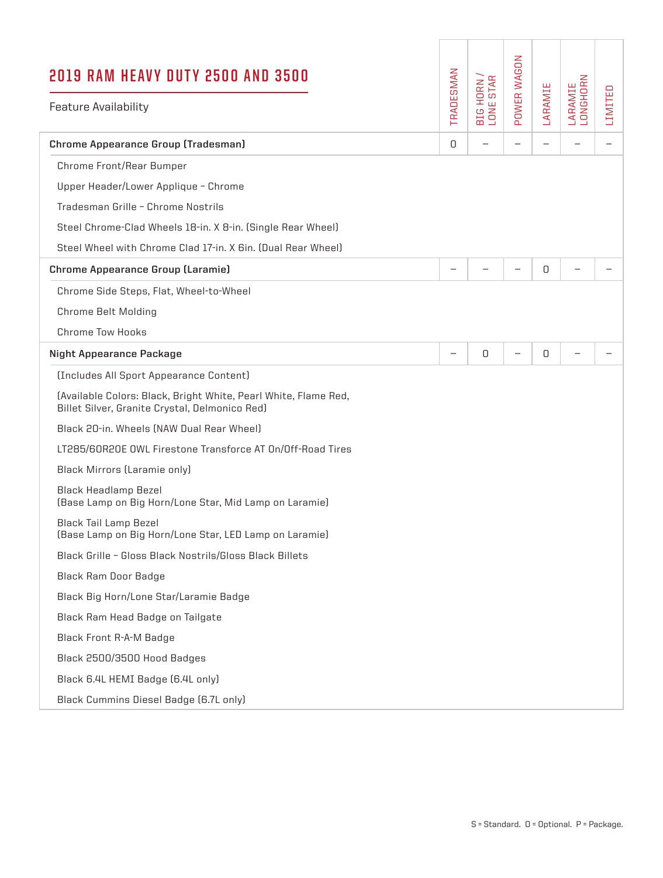| 2019 RAM HEAVY DUTY 2500 AND 3500<br><b>Feature Availability</b>                                                  | TRADESMAN                | <b>STAR</b><br>BIG HORN /<br>LONE STAR | POWER WAGON | LARAMIE | LARAMIE<br>LONGHORN | LIMITED |
|-------------------------------------------------------------------------------------------------------------------|--------------------------|----------------------------------------|-------------|---------|---------------------|---------|
|                                                                                                                   |                          |                                        |             |         |                     |         |
| <b>Chrome Appearance Group (Tradesman)</b>                                                                        | 0                        |                                        |             | -       |                     | -       |
| Chrome Front/Rear Bumper                                                                                          |                          |                                        |             |         |                     |         |
| Upper Header/Lower Applique - Chrome                                                                              |                          |                                        |             |         |                     |         |
| Tradesman Grille - Chrome Nostrils                                                                                |                          |                                        |             |         |                     |         |
| Steel Chrome-Clad Wheels 18-in. X 8-in. (Single Rear Wheel)                                                       |                          |                                        |             |         |                     |         |
| Steel Wheel with Chrome Clad 17-in, X 6in, (Dual Rear Wheel)                                                      |                          |                                        |             |         |                     |         |
| <b>Chrome Appearance Group (Laramie)</b>                                                                          |                          |                                        |             | 0       |                     |         |
| Chrome Side Steps, Flat, Wheel-to-Wheel                                                                           |                          |                                        |             |         |                     |         |
| <b>Chrome Belt Molding</b>                                                                                        |                          |                                        |             |         |                     |         |
| <b>Chrome Tow Hooks</b>                                                                                           |                          |                                        |             |         |                     |         |
| <b>Night Appearance Package</b>                                                                                   | $\overline{\phantom{0}}$ | 0                                      | -           | 0       |                     |         |
| (Includes All Sport Appearance Content)                                                                           |                          |                                        |             |         |                     |         |
| (Available Colors: Black, Bright White, Pearl White, Flame Red,<br>Billet Silver, Granite Crystal, Delmonico Red) |                          |                                        |             |         |                     |         |
| Black 20-in. Wheels (NAW Dual Rear Wheel)                                                                         |                          |                                        |             |         |                     |         |
| LT285/60R20E OWL Firestone Transforce AT On/Off-Road Tires                                                        |                          |                                        |             |         |                     |         |
| <b>Black Mirrors (Laramie only)</b>                                                                               |                          |                                        |             |         |                     |         |
| <b>Black Headlamp Bezel</b><br>(Base Lamp on Big Horn/Lone Star, Mid Lamp on Laramie)                             |                          |                                        |             |         |                     |         |
| Black Tail Lamp Bezel<br>(Base Lamp on Big Horn/Lone Star, LED Lamp on Laramie)                                   |                          |                                        |             |         |                     |         |
| Black Grille - Gloss Black Nostrils/Gloss Black Billets                                                           |                          |                                        |             |         |                     |         |
| <b>Black Ram Door Badge</b>                                                                                       |                          |                                        |             |         |                     |         |
| Black Big Horn/Lone Star/Laramie Badge                                                                            |                          |                                        |             |         |                     |         |
| Black Ram Head Badge on Tailgate                                                                                  |                          |                                        |             |         |                     |         |
| <b>Black Front R-A-M Badge</b>                                                                                    |                          |                                        |             |         |                     |         |
| Black 2500/3500 Hood Badges                                                                                       |                          |                                        |             |         |                     |         |
| Black 6.4L HEMI Badge (6.4L only)                                                                                 |                          |                                        |             |         |                     |         |
| Black Cummins Diesel Badge (6.7L only)                                                                            |                          |                                        |             |         |                     |         |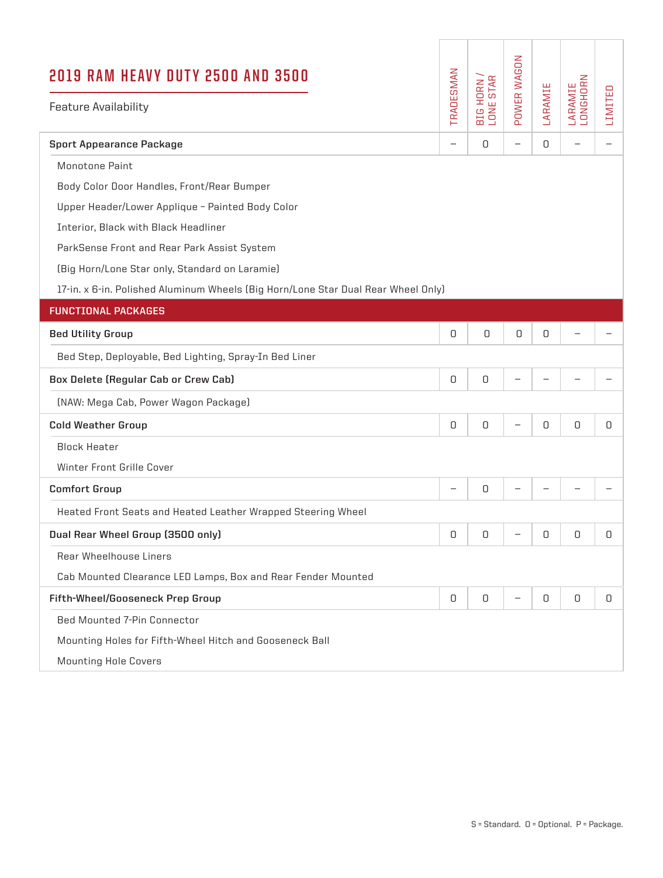| 2019 RAM HEAVY DUTY 2500 AND 3500<br><b>Feature Availability</b>                  | TRADESMAN                | <b>STAR</b><br>HORN<br>IE STAR<br><b>EIG</b><br>LONE | POWER WAGON              | LARAMIE | LARAMIE<br>LONGHORN      | LIMITED                  |
|-----------------------------------------------------------------------------------|--------------------------|------------------------------------------------------|--------------------------|---------|--------------------------|--------------------------|
| <b>Sport Appearance Package</b>                                                   | $\overline{\phantom{0}}$ | 0                                                    | $\overline{\phantom{m}}$ | 0       | $\overline{\phantom{0}}$ | $\overline{\phantom{0}}$ |
| Monotone Paint                                                                    |                          |                                                      |                          |         |                          |                          |
| Body Color Door Handles, Front/Rear Bumper                                        |                          |                                                      |                          |         |                          |                          |
| Upper Header/Lower Applique - Painted Body Color                                  |                          |                                                      |                          |         |                          |                          |
| Interior, Black with Black Headliner                                              |                          |                                                      |                          |         |                          |                          |
| ParkSense Front and Rear Park Assist System                                       |                          |                                                      |                          |         |                          |                          |
| (Big Horn/Lone Star only, Standard on Laramie)                                    |                          |                                                      |                          |         |                          |                          |
| 17-in. x 6-in. Polished Aluminum Wheels (Big Horn/Lone Star Dual Rear Wheel Only) |                          |                                                      |                          |         |                          |                          |
| <b>FUNCTIONAL PACKAGES</b>                                                        |                          |                                                      |                          |         |                          |                          |
| <b>Bed Utility Group</b>                                                          | 0                        | 0                                                    | 0                        | 0       |                          |                          |
| Bed Step, Deployable, Bed Lighting, Spray-In Bed Liner                            |                          |                                                      |                          |         |                          |                          |
| Box Delete (Regular Cab or Crew Cab)                                              | 0                        | 0                                                    |                          |         |                          |                          |
| (NAW: Mega Cab, Power Wagon Package)                                              |                          |                                                      |                          |         |                          |                          |
| <b>Cold Weather Group</b>                                                         | 0                        | 0                                                    |                          | 0       | 0                        | 0                        |
| <b>Block Heater</b>                                                               |                          |                                                      |                          |         |                          |                          |
| Winter Front Grille Cover                                                         |                          |                                                      |                          |         |                          |                          |
| <b>Comfort Group</b>                                                              |                          | 0                                                    |                          |         |                          |                          |
| Heated Front Seats and Heated Leather Wrapped Steering Wheel                      |                          |                                                      |                          |         |                          |                          |
| Dual Rear Wheel Group (3500 only)                                                 | 0                        | 0                                                    |                          | 0       | 0                        | 0                        |
| Rear Wheelhouse Liners                                                            |                          |                                                      |                          |         |                          |                          |
| Cab Mounted Clearance LED Lamps, Box and Rear Fender Mounted                      |                          |                                                      |                          |         |                          |                          |
| Fifth-Wheel/Gooseneck Prep Group                                                  | 0                        | 0                                                    | —                        | 0       | 0                        | 0                        |
| <b>Bed Mounted 7-Pin Connector</b>                                                |                          |                                                      |                          |         |                          |                          |
| Mounting Holes for Fifth-Wheel Hitch and Gooseneck Ball                           |                          |                                                      |                          |         |                          |                          |
| <b>Mounting Hole Covers</b>                                                       |                          |                                                      |                          |         |                          |                          |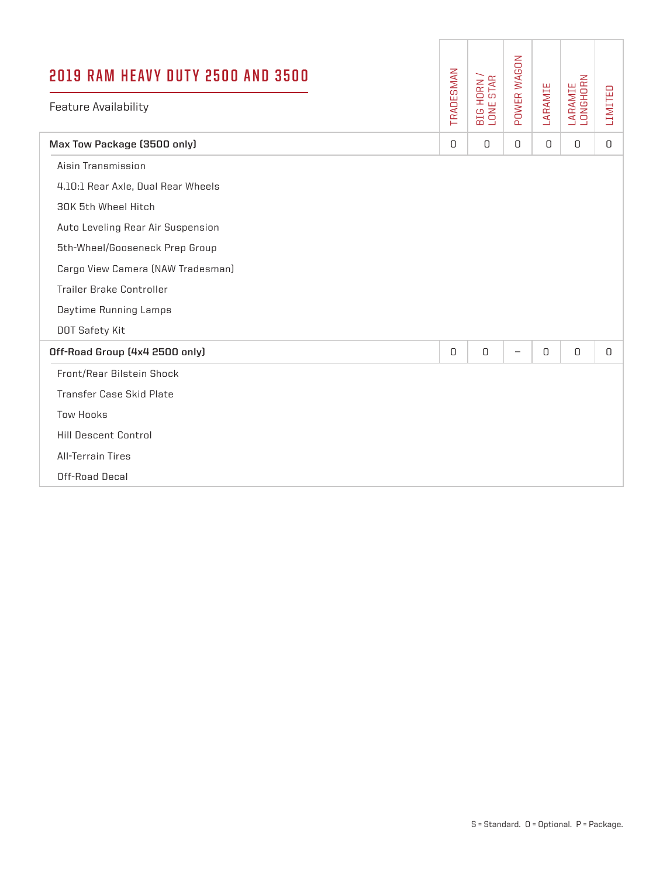| <b>2019 RAM HEAVY DUTY 2500 AND 3500</b><br><b>Feature Availability</b> | TRADESMAN | BIG HORN /<br>LONE STAR | POWER WAGON       | LARAMIE  | LARAMIE<br>LONGHORN | LIMITED |
|-------------------------------------------------------------------------|-----------|-------------------------|-------------------|----------|---------------------|---------|
| Max Tow Package (3500 only)                                             | $\Box$    | $\Omega$                | 0                 | $\Box$   | $\Omega$            | $\Box$  |
| Aisin Transmission                                                      |           |                         |                   |          |                     |         |
| 4.10:1 Rear Axle, Dual Rear Wheels                                      |           |                         |                   |          |                     |         |
| 30K 5th Wheel Hitch                                                     |           |                         |                   |          |                     |         |
| Auto Leveling Rear Air Suspension                                       |           |                         |                   |          |                     |         |
| 5th-Wheel/Gooseneck Prep Group                                          |           |                         |                   |          |                     |         |
| Cargo View Camera (NAW Tradesman)                                       |           |                         |                   |          |                     |         |
| Trailer Brake Controller                                                |           |                         |                   |          |                     |         |
| Daytime Running Lamps                                                   |           |                         |                   |          |                     |         |
| DOT Safety Kit                                                          |           |                         |                   |          |                     |         |
| Off-Road Group (4x4 2500 only)                                          | 0         | $\hbox{O}$              | $\qquad \qquad -$ | $\Omega$ | $\hbox{O}$          | $\cup$  |
| Front/Rear Bilstein Shock                                               |           |                         |                   |          |                     |         |
| Transfer Case Skid Plate                                                |           |                         |                   |          |                     |         |
| <b>Tow Hooks</b>                                                        |           |                         |                   |          |                     |         |
| <b>Hill Descent Control</b>                                             |           |                         |                   |          |                     |         |
| <b>All-Terrain Tires</b>                                                |           |                         |                   |          |                     |         |
| Off-Road Decal                                                          |           |                         |                   |          |                     |         |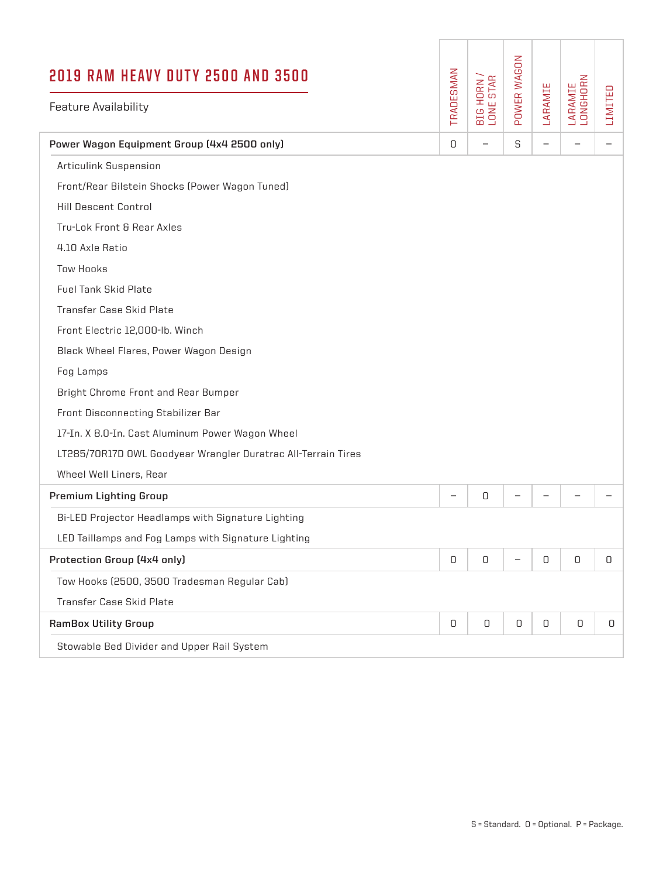| <b>2019 RAM HEAVY DUTY 2500 AND 3500</b>                      |            |                         | POWER WAGON       |                   |                     |                   |
|---------------------------------------------------------------|------------|-------------------------|-------------------|-------------------|---------------------|-------------------|
| <b>Feature Availability</b>                                   | TRADESMAN  | BIG HORN /<br>LONE STAR |                   | LARAMIE           | LARAMIE<br>LONGHORN | LIMITED           |
| Power Wagon Equipment Group (4x4 2500 only)                   | 0          |                         | S                 | $\qquad \qquad -$ |                     | $\qquad \qquad -$ |
| <b>Articulink Suspension</b>                                  |            |                         |                   |                   |                     |                   |
| Front/Rear Bilstein Shocks (Power Wagon Tuned)                |            |                         |                   |                   |                     |                   |
| <b>Hill Descent Control</b>                                   |            |                         |                   |                   |                     |                   |
| Tru-Lok Front & Rear Axles                                    |            |                         |                   |                   |                     |                   |
| 4.10 Axle Ratio                                               |            |                         |                   |                   |                     |                   |
| <b>Tow Hooks</b>                                              |            |                         |                   |                   |                     |                   |
| <b>Fuel Tank Skid Plate</b>                                   |            |                         |                   |                   |                     |                   |
| Transfer Case Skid Plate                                      |            |                         |                   |                   |                     |                   |
| Front Electric 12,000-lb. Winch                               |            |                         |                   |                   |                     |                   |
| Black Wheel Flares, Power Wagon Design                        |            |                         |                   |                   |                     |                   |
| Fog Lamps                                                     |            |                         |                   |                   |                     |                   |
| Bright Chrome Front and Rear Bumper                           |            |                         |                   |                   |                     |                   |
| Front Disconnecting Stabilizer Bar                            |            |                         |                   |                   |                     |                   |
| 17-In. X 8.0-In. Cast Aluminum Power Wagon Wheel              |            |                         |                   |                   |                     |                   |
| LT285/70R17D OWL Goodyear Wrangler Duratrac All-Terrain Tires |            |                         |                   |                   |                     |                   |
| Wheel Well Liners, Rear                                       |            |                         |                   |                   |                     |                   |
| <b>Premium Lighting Group</b>                                 | -          | 0                       |                   |                   |                     |                   |
| Bi-LED Projector Headlamps with Signature Lighting            |            |                         |                   |                   |                     |                   |
| LED Taillamps and Fog Lamps with Signature Lighting           |            |                         |                   |                   |                     |                   |
| Protection Group (4x4 only)                                   | $\hbox{O}$ | $\hbox{O}$              | $\qquad \qquad -$ | 0                 | $\hbox{O}$          | 0                 |
| Tow Hooks (2500, 3500 Tradesman Regular Cab)                  |            |                         |                   |                   |                     |                   |
| Transfer Case Skid Plate                                      |            |                         |                   |                   |                     |                   |
| <b>RamBox Utility Group</b>                                   | 0          | 0                       | 0                 | 0                 | 0                   | 0                 |
| Stowable Bed Divider and Upper Rail System                    |            |                         |                   |                   |                     |                   |